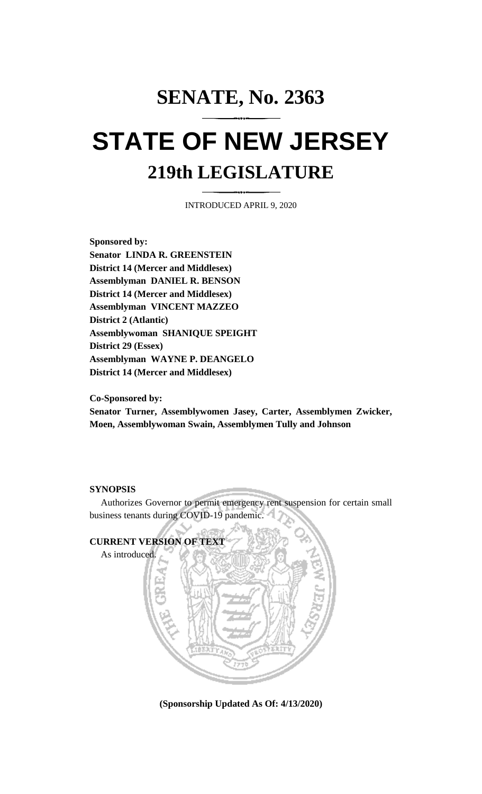## **SENATE, No. 2363 STATE OF NEW JERSEY 219th LEGISLATURE**

INTRODUCED APRIL 9, 2020

**Sponsored by: Senator LINDA R. GREENSTEIN District 14 (Mercer and Middlesex) Assemblyman DANIEL R. BENSON District 14 (Mercer and Middlesex) Assemblyman VINCENT MAZZEO District 2 (Atlantic) Assemblywoman SHANIQUE SPEIGHT District 29 (Essex) Assemblyman WAYNE P. DEANGELO District 14 (Mercer and Middlesex)**

**Co-Sponsored by:**

**Senator Turner, Assemblywomen Jasey, Carter, Assemblymen Zwicker, Moen, Assemblywoman Swain, Assemblymen Tully and Johnson**

## **SYNOPSIS**

Authorizes Governor to permit emergency rent suspension for certain small business tenants during COVID-19 pandemic.



**(Sponsorship Updated As Of: 4/13/2020)**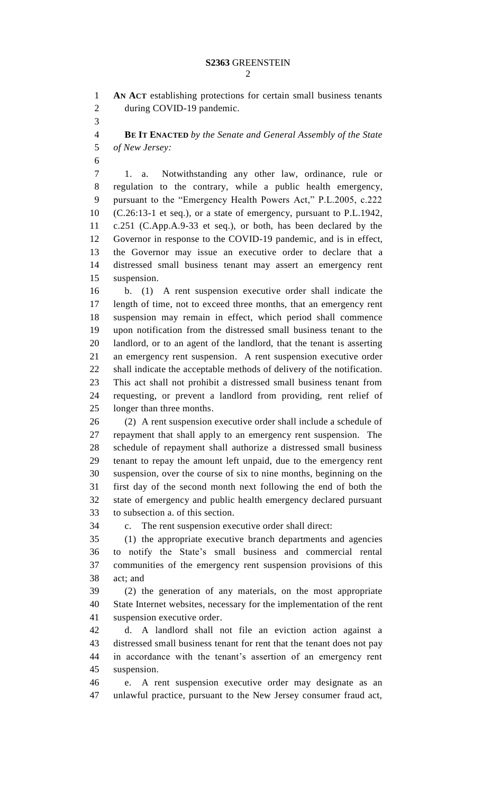**AN ACT** establishing protections for certain small business tenants during COVID-19 pandemic.

 **BE IT ENACTED** *by the Senate and General Assembly of the State of New Jersey:*

 1. a. Notwithstanding any other law, ordinance, rule or regulation to the contrary, while a public health emergency, pursuant to the "Emergency Health Powers Act," P.L.2005, c.222 (C.26:13-1 et seq.), or a state of emergency, pursuant to P.L.1942, c.251 (C.App.A.9-33 et seq.), or both, has been declared by the Governor in response to the COVID-19 pandemic, and is in effect, the Governor may issue an executive order to declare that a distressed small business tenant may assert an emergency rent suspension.

 b. (1) A rent suspension executive order shall indicate the length of time, not to exceed three months, that an emergency rent suspension may remain in effect, which period shall commence upon notification from the distressed small business tenant to the landlord, or to an agent of the landlord, that the tenant is asserting an emergency rent suspension. A rent suspension executive order shall indicate the acceptable methods of delivery of the notification. This act shall not prohibit a distressed small business tenant from requesting, or prevent a landlord from providing, rent relief of longer than three months.

 (2) A rent suspension executive order shall include a schedule of repayment that shall apply to an emergency rent suspension. The schedule of repayment shall authorize a distressed small business tenant to repay the amount left unpaid, due to the emergency rent suspension, over the course of six to nine months, beginning on the first day of the second month next following the end of both the state of emergency and public health emergency declared pursuant to subsection a. of this section.

c. The rent suspension executive order shall direct:

 (1) the appropriate executive branch departments and agencies to notify the State's small business and commercial rental communities of the emergency rent suspension provisions of this act; and

 (2) the generation of any materials, on the most appropriate State Internet websites, necessary for the implementation of the rent suspension executive order.

 d. A landlord shall not file an eviction action against a distressed small business tenant for rent that the tenant does not pay in accordance with the tenant's assertion of an emergency rent suspension.

 e. A rent suspension executive order may designate as an unlawful practice, pursuant to the New Jersey consumer fraud act,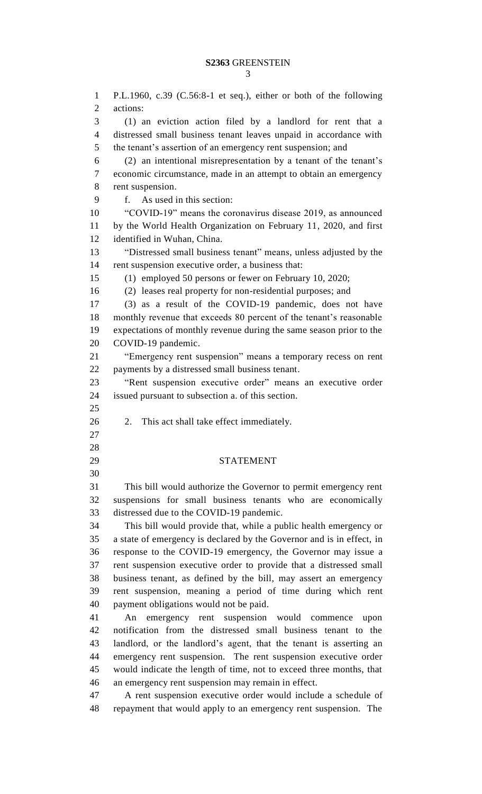P.L.1960, c.39 (C.56:8-1 et seq.), either or both of the following actions: (1) an eviction action filed by a landlord for rent that a distressed small business tenant leaves unpaid in accordance with the tenant's assertion of an emergency rent suspension; and (2) an intentional misrepresentation by a tenant of the tenant's economic circumstance, made in an attempt to obtain an emergency rent suspension. f. As used in this section: "COVID-19" means the coronavirus disease 2019, as announced by the World Health Organization on February 11, 2020, and first identified in Wuhan, China. "Distressed small business tenant" means, unless adjusted by the rent suspension executive order, a business that: (1) employed 50 persons or fewer on February 10, 2020; (2) leases real property for non-residential purposes; and (3) as a result of the COVID-19 pandemic, does not have monthly revenue that exceeds 80 percent of the tenant's reasonable expectations of monthly revenue during the same season prior to the COVID-19 pandemic. "Emergency rent suspension" means a temporary recess on rent payments by a distressed small business tenant. "Rent suspension executive order" means an executive order issued pursuant to subsection a. of this section. 2. This act shall take effect immediately. STATEMENT This bill would authorize the Governor to permit emergency rent suspensions for small business tenants who are economically distressed due to the COVID-19 pandemic. This bill would provide that, while a public health emergency or a state of emergency is declared by the Governor and is in effect, in response to the COVID-19 emergency, the Governor may issue a rent suspension executive order to provide that a distressed small business tenant, as defined by the bill, may assert an emergency rent suspension, meaning a period of time during which rent payment obligations would not be paid. An emergency rent suspension would commence upon notification from the distressed small business tenant to the landlord, or the landlord's agent, that the tenant is asserting an emergency rent suspension. The rent suspension executive order would indicate the length of time, not to exceed three months, that an emergency rent suspension may remain in effect. A rent suspension executive order would include a schedule of repayment that would apply to an emergency rent suspension. The